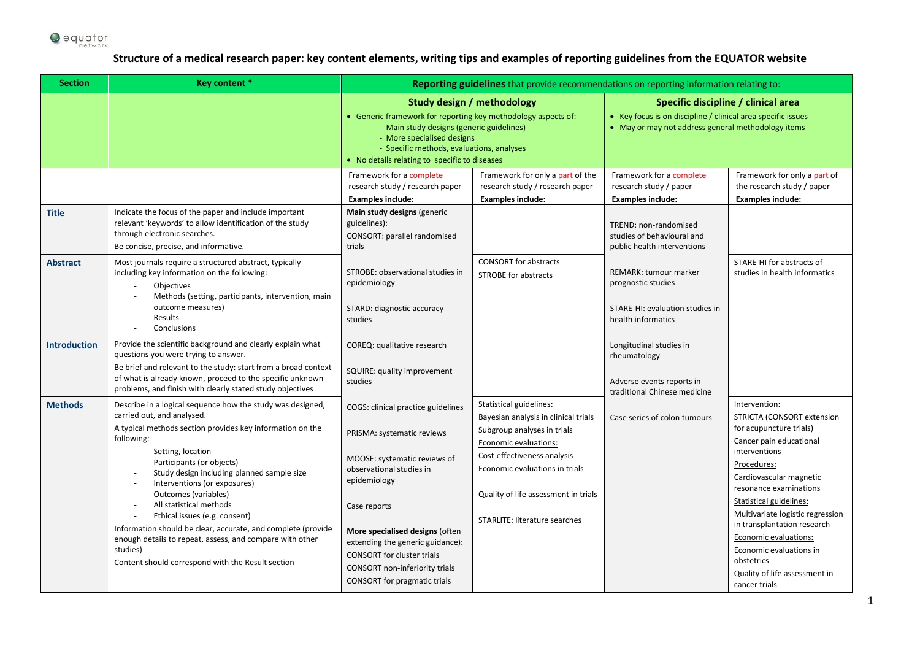

## **Structure of a medical research paper: key content elements, writing tips and examples of reporting guidelines from the EQUATOR website**

| <b>Section</b>      | <b>Key content *</b>                                                                                                                                                                                                                                                                                                                                                                                                                                                                                                                                                                                     | Reporting guidelines that provide recommendations on reporting information relating to:                                                                                                                                                                                                                                                                  |                                                                                                                                                                                                                                                                          |                                                                                                                                                           |                                                                                                                                                                                                                                                                                                                                                                                                          |  |  |
|---------------------|----------------------------------------------------------------------------------------------------------------------------------------------------------------------------------------------------------------------------------------------------------------------------------------------------------------------------------------------------------------------------------------------------------------------------------------------------------------------------------------------------------------------------------------------------------------------------------------------------------|----------------------------------------------------------------------------------------------------------------------------------------------------------------------------------------------------------------------------------------------------------------------------------------------------------------------------------------------------------|--------------------------------------------------------------------------------------------------------------------------------------------------------------------------------------------------------------------------------------------------------------------------|-----------------------------------------------------------------------------------------------------------------------------------------------------------|----------------------------------------------------------------------------------------------------------------------------------------------------------------------------------------------------------------------------------------------------------------------------------------------------------------------------------------------------------------------------------------------------------|--|--|
|                     |                                                                                                                                                                                                                                                                                                                                                                                                                                                                                                                                                                                                          | <b>Study design / methodology</b><br>• Generic framework for reporting key methodology aspects of:<br>- Main study designs (generic guidelines)<br>- More specialised designs<br>- Specific methods, evaluations, analyses<br>• No details relating to specific to diseases                                                                              |                                                                                                                                                                                                                                                                          | Specific discipline / clinical area<br>• Key focus is on discipline / clinical area specific issues<br>• May or may not address general methodology items |                                                                                                                                                                                                                                                                                                                                                                                                          |  |  |
|                     |                                                                                                                                                                                                                                                                                                                                                                                                                                                                                                                                                                                                          | Framework for a complete<br>research study / research paper<br><b>Examples include:</b>                                                                                                                                                                                                                                                                  | Framework for only a part of the<br>research study / research paper<br><b>Examples include:</b>                                                                                                                                                                          | Framework for a complete<br>research study / paper<br><b>Examples include:</b>                                                                            | Framework for only a part of<br>the research study / paper<br><b>Examples include:</b>                                                                                                                                                                                                                                                                                                                   |  |  |
| Title               | Indicate the focus of the paper and include important<br>relevant 'keywords' to allow identification of the study<br>through electronic searches.<br>Be concise, precise, and informative.                                                                                                                                                                                                                                                                                                                                                                                                               | Main study designs (generic<br>guidelines):<br>CONSORT: parallel randomised<br>trials                                                                                                                                                                                                                                                                    |                                                                                                                                                                                                                                                                          | TREND: non-randomised<br>studies of behavioural and<br>public health interventions                                                                        |                                                                                                                                                                                                                                                                                                                                                                                                          |  |  |
| <b>Abstract</b>     | Most journals require a structured abstract, typically<br>including key information on the following:<br>Objectives<br>Methods (setting, participants, intervention, main<br>outcome measures)<br>Results<br>Conclusions<br>$\blacksquare$                                                                                                                                                                                                                                                                                                                                                               | STROBE: observational studies in<br>epidemiology<br>STARD: diagnostic accuracy<br>studies                                                                                                                                                                                                                                                                | <b>CONSORT</b> for abstracts<br><b>STROBE for abstracts</b>                                                                                                                                                                                                              | <b>REMARK: tumour marker</b><br>prognostic studies<br>STARE-HI: evaluation studies in<br>health informatics                                               | STARE-HI for abstracts of<br>studies in health informatics                                                                                                                                                                                                                                                                                                                                               |  |  |
| <b>Introduction</b> | Provide the scientific background and clearly explain what<br>questions you were trying to answer.<br>Be brief and relevant to the study: start from a broad context<br>of what is already known, proceed to the specific unknown<br>problems, and finish with clearly stated study objectives                                                                                                                                                                                                                                                                                                           | COREQ: qualitative research<br>SQUIRE: quality improvement<br>studies                                                                                                                                                                                                                                                                                    |                                                                                                                                                                                                                                                                          | Longitudinal studies in<br>rheumatology<br>Adverse events reports in<br>traditional Chinese medicine                                                      |                                                                                                                                                                                                                                                                                                                                                                                                          |  |  |
| <b>Methods</b>      | Describe in a logical sequence how the study was designed,<br>carried out, and analysed.<br>A typical methods section provides key information on the<br>following:<br>Setting, location<br>Participants (or objects)<br>Study design including planned sample size<br>$\sim$<br>Interventions (or exposures)<br>Outcomes (variables)<br>$\sim$<br>All statistical methods<br>Ethical issues (e.g. consent)<br>Information should be clear, accurate, and complete (provide<br>enough details to repeat, assess, and compare with other<br>studies)<br>Content should correspond with the Result section | COGS: clinical practice guidelines<br>PRISMA: systematic reviews<br>MOOSE: systematic reviews of<br>observational studies in<br>epidemiology<br>Case reports<br>More specialised designs (often<br>extending the generic guidance):<br><b>CONSORT</b> for cluster trials<br><b>CONSORT</b> non-inferiority trials<br><b>CONSORT</b> for pragmatic trials | Statistical guidelines:<br>Bayesian analysis in clinical trials<br>Subgroup analyses in trials<br>Economic evaluations:<br>Cost-effectiveness analysis<br>Economic evaluations in trials<br>Quality of life assessment in trials<br><b>STARLITE: literature searches</b> | Case series of colon tumours                                                                                                                              | Intervention:<br>STRICTA (CONSORT extension<br>for acupuncture trials)<br>Cancer pain educational<br>interventions<br>Procedures:<br>Cardiovascular magnetic<br>resonance examinations<br>Statistical guidelines:<br>Multivariate logistic regression<br>in transplantation research<br>Economic evaluations:<br>Economic evaluations in<br>obstetrics<br>Quality of life assessment in<br>cancer trials |  |  |